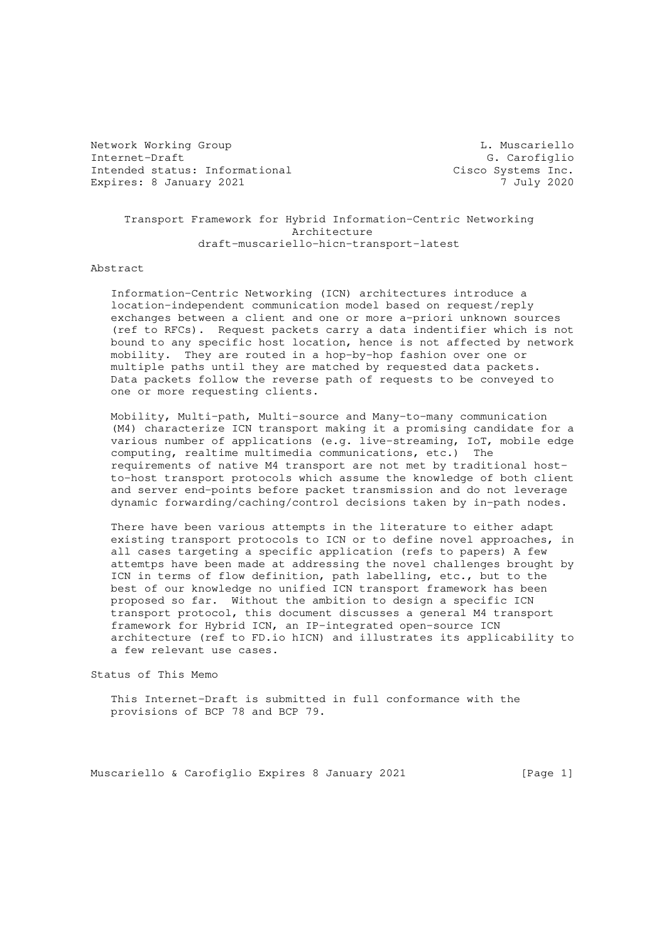Network Working Group Communication Communication Communication Communication Communication Communication Communication Communication Communication Communication Communication Communication Communication Communication Comm Internet-Draft G. Carofiglio Intended status: Informational Cisco Systems Inc. Expires: 8 January 2021 7 July 2020

 Transport Framework for Hybrid Information-Centric Networking Architecture draft-muscariello-hicn-transport-latest

Abstract

 Information-Centric Networking (ICN) architectures introduce a location-independent communication model based on request/reply exchanges between a client and one or more a-priori unknown sources (ref to RFCs). Request packets carry a data indentifier which is not bound to any specific host location, hence is not affected by network mobility. They are routed in a hop-by-hop fashion over one or multiple paths until they are matched by requested data packets. Data packets follow the reverse path of requests to be conveyed to one or more requesting clients.

 Mobility, Multi-path, Multi-source and Many-to-many communication (M4) characterize ICN transport making it a promising candidate for a various number of applications (e.g. live-streaming, IoT, mobile edge computing, realtime multimedia communications, etc.) The requirements of native M4 transport are not met by traditional host to-host transport protocols which assume the knowledge of both client and server end-points before packet transmission and do not leverage dynamic forwarding/caching/control decisions taken by in-path nodes.

 There have been various attempts in the literature to either adapt existing transport protocols to ICN or to define novel approaches, in all cases targeting a specific application (refs to papers) A few attemtps have been made at addressing the novel challenges brought by ICN in terms of flow definition, path labelling, etc., but to the best of our knowledge no unified ICN transport framework has been proposed so far. Without the ambition to design a specific ICN transport protocol, this document discusses a general M4 transport framework for Hybrid ICN, an IP-integrated open-source ICN architecture (ref to FD.io hICN) and illustrates its applicability to a few relevant use cases.

Status of This Memo

 This Internet-Draft is submitted in full conformance with the provisions of BCP 78 and BCP 79.

Muscariello & Carofiglio Expires 8 January 2021 [Page 1]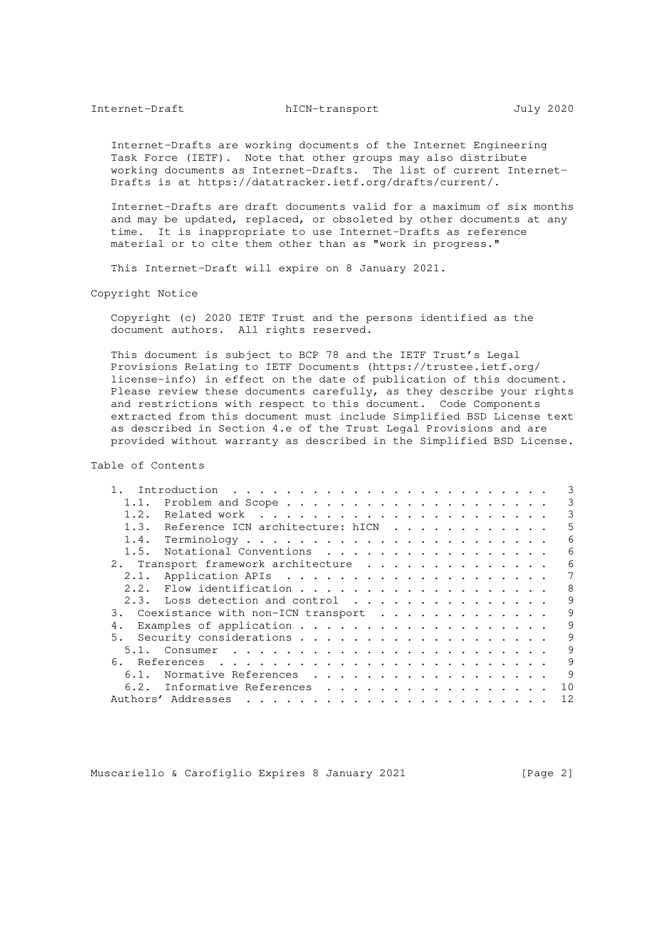Internet-Drafts are working documents of the Internet Engineering Task Force (IETF). Note that other groups may also distribute working documents as Internet-Drafts. The list of current Internet- Drafts is at https://datatracker.ietf.org/drafts/current/.

 Internet-Drafts are draft documents valid for a maximum of six months and may be updated, replaced, or obsoleted by other documents at any time. It is inappropriate to use Internet-Drafts as reference material or to cite them other than as "work in progress."

This Internet-Draft will expire on 8 January 2021.

Copyright Notice

 Copyright (c) 2020 IETF Trust and the persons identified as the document authors. All rights reserved.

 This document is subject to BCP 78 and the IETF Trust's Legal Provisions Relating to IETF Documents (https://trustee.ietf.org/ license-info) in effect on the date of publication of this document. Please review these documents carefully, as they describe your rights and restrictions with respect to this document. Code Components extracted from this document must include Simplified BSD License text as described in Section 4.e of the Trust Legal Provisions and are provided without warranty as described in the Simplified BSD License.

Table of Contents

|      |                                       | 3  |
|------|---------------------------------------|----|
| 1.1. |                                       | 3  |
| 1.2. |                                       | 3  |
|      | 1.3. Reference ICN architecture: hICN | 5  |
|      |                                       | 6  |
| 1.5. | Notational Conventions                | 6  |
|      | 2. Transport framework architecture   | 6  |
|      |                                       | 7  |
|      |                                       | 8  |
|      | 2.3. Loss detection and control       | 9  |
|      | 3. Coexistance with non-ICN transport | 9  |
| 4.   |                                       | 9  |
| 5.   |                                       | 9  |
|      |                                       | 9  |
|      |                                       | 9  |
| 6.1. | Normative References                  | 9  |
| 6.2. | Informative References                | 10 |
|      | Authors' Addresses                    | 12 |

Muscariello & Carofiglio Expires 8 January 2021 [Page 2]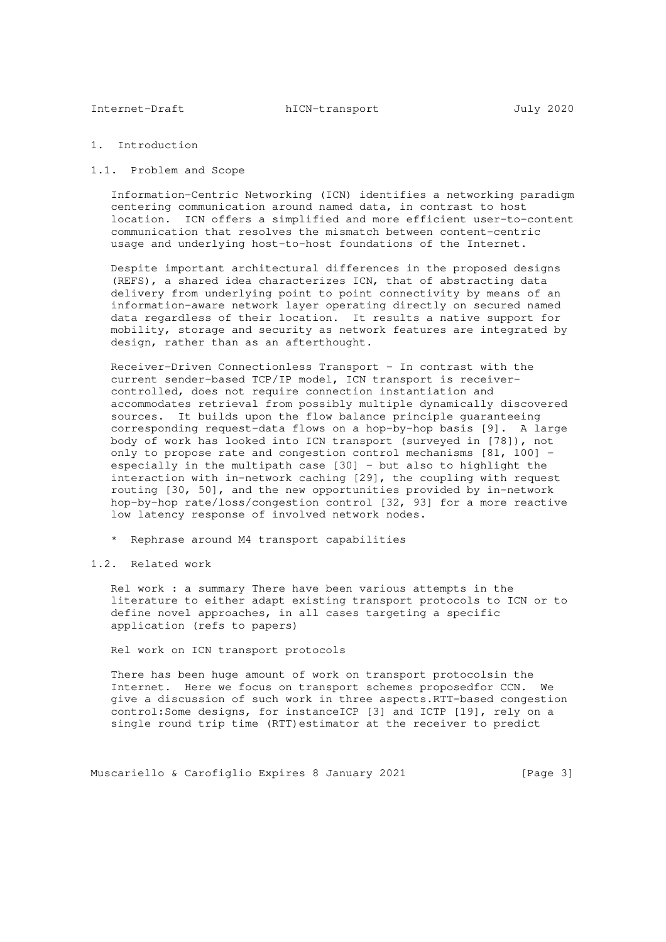## 1. Introduction

#### 1.1. Problem and Scope

 Information-Centric Networking (ICN) identifies a networking paradigm centering communication around named data, in contrast to host location. ICN offers a simplified and more efficient user-to-content communication that resolves the mismatch between content-centric usage and underlying host-to-host foundations of the Internet.

 Despite important architectural differences in the proposed designs (REFS), a shared idea characterizes ICN, that of abstracting data delivery from underlying point to point connectivity by means of an information-aware network layer operating directly on secured named data regardless of their location. It results a native support for mobility, storage and security as network features are integrated by design, rather than as an afterthought.

 Receiver-Driven Connectionless Transport - In contrast with the current sender-based TCP/IP model, ICN transport is receiver controlled, does not require connection instantiation and accommodates retrieval from possibly multiple dynamically discovered sources. It builds upon the flow balance principle guaranteeing corresponding request-data flows on a hop-by-hop basis [9]. A large body of work has looked into ICN transport (surveyed in [78]), not only to propose rate and congestion control mechanisms [81, 100] especially in the multipath case [30] - but also to highlight the interaction with in-network caching [29], the coupling with request routing [30, 50], and the new opportunities provided by in-network hop-by-hop rate/loss/congestion control [32, 93] for a more reactive low latency response of involved network nodes.

- \* Rephrase around M4 transport capabilities
- 1.2. Related work

 Rel work : a summary There have been various attempts in the literature to either adapt existing transport protocols to ICN or to define novel approaches, in all cases targeting a specific application (refs to papers)

Rel work on ICN transport protocols

 There has been huge amount of work on transport protocolsin the Internet. Here we focus on transport schemes proposedfor CCN. We give a discussion of such work in three aspects.RTT-based congestion control:Some designs, for instanceICP [3] and ICTP [19], rely on a single round trip time (RTT)estimator at the receiver to predict

Muscariello & Carofiglio Expires 8 January 2021 [Page 3]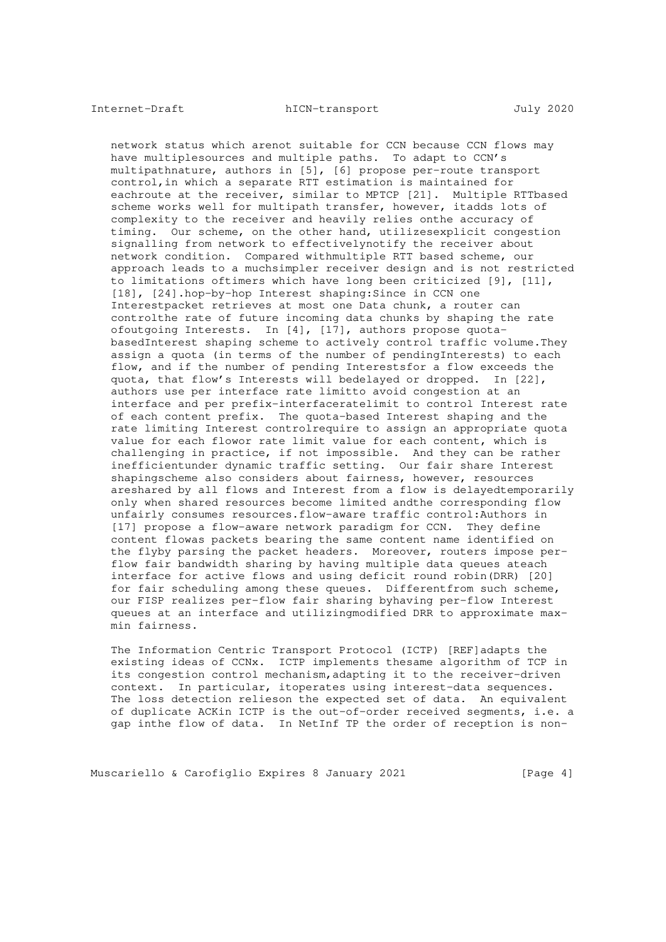network status which arenot suitable for CCN because CCN flows may have multiplesources and multiple paths. To adapt to CCN's multipathnature, authors in [5], [6] propose per-route transport control,in which a separate RTT estimation is maintained for eachroute at the receiver, similar to MPTCP [21]. Multiple RTTbased scheme works well for multipath transfer, however, itadds lots of complexity to the receiver and heavily relies onthe accuracy of timing. Our scheme, on the other hand, utilizesexplicit congestion signalling from network to effectivelynotify the receiver about network condition. Compared withmultiple RTT based scheme, our approach leads to a muchsimpler receiver design and is not restricted to limitations oftimers which have long been criticized [9], [11], [18], [24].hop-by-hop Interest shaping: Since in CCN one Interestpacket retrieves at most one Data chunk, a router can controlthe rate of future incoming data chunks by shaping the rate ofoutgoing Interests. In [4], [17], authors propose quota basedInterest shaping scheme to actively control traffic volume.They assign a quota (in terms of the number of pendingInterests) to each flow, and if the number of pending Interestsfor a flow exceeds the quota, that flow's Interests will bedelayed or dropped. In [22], authors use per interface rate limitto avoid congestion at an interface and per prefix-interfaceratelimit to control Interest rate of each content prefix. The quota-based Interest shaping and the rate limiting Interest controlrequire to assign an appropriate quota value for each flowor rate limit value for each content, which is challenging in practice, if not impossible. And they can be rather inefficientunder dynamic traffic setting. Our fair share Interest shapingscheme also considers about fairness, however, resources areshared by all flows and Interest from a flow is delayedtemporarily only when shared resources become limited andthe corresponding flow unfairly consumes resources.flow-aware traffic control:Authors in [17] propose a flow-aware network paradigm for CCN. They define content flowas packets bearing the same content name identified on the flyby parsing the packet headers. Moreover, routers impose per flow fair bandwidth sharing by having multiple data queues ateach interface for active flows and using deficit round robin(DRR) [20] for fair scheduling among these queues. Differentfrom such scheme, our FISP realizes per-flow fair sharing byhaving per-flow Interest queues at an interface and utilizingmodified DRR to approximate max min fairness.

 The Information Centric Transport Protocol (ICTP) [REF]adapts the existing ideas of CCNx. ICTP implements thesame algorithm of TCP in its congestion control mechanism,adapting it to the receiver-driven context. In particular, itoperates using interest-data sequences. The loss detection relieson the expected set of data. An equivalent of duplicate ACKin ICTP is the out-of-order received segments, i.e. a gap inthe flow of data. In NetInf TP the order of reception is non-

Muscariello & Carofiglio Expires 8 January 2021 [Page 4]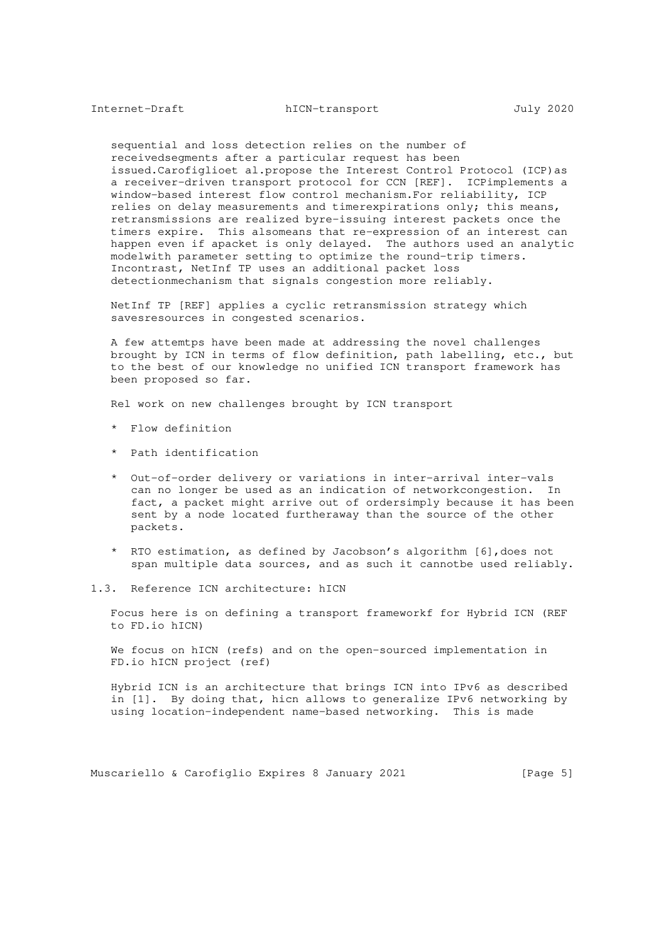sequential and loss detection relies on the number of receivedsegments after a particular request has been issued.Carofiglioet al.propose the Interest Control Protocol (ICP)as a receiver-driven transport protocol for CCN [REF]. ICPimplements a window-based interest flow control mechanism.For reliability, ICP relies on delay measurements and timerexpirations only; this means, retransmissions are realized byre-issuing interest packets once the timers expire. This alsomeans that re-expression of an interest can happen even if apacket is only delayed. The authors used an analytic modelwith parameter setting to optimize the round-trip timers. Incontrast, NetInf TP uses an additional packet loss detectionmechanism that signals congestion more reliably.

 NetInf TP [REF] applies a cyclic retransmission strategy which savesresources in congested scenarios.

 A few attemtps have been made at addressing the novel challenges brought by ICN in terms of flow definition, path labelling, etc., but to the best of our knowledge no unified ICN transport framework has been proposed so far.

Rel work on new challenges brought by ICN transport

- \* Flow definition
- \* Path identification
- \* Out-of-order delivery or variations in inter-arrival inter-vals can no longer be used as an indication of networkcongestion. In fact, a packet might arrive out of ordersimply because it has been sent by a node located furtheraway than the source of the other packets.
- \* RTO estimation, as defined by Jacobson's algorithm [6],does not span multiple data sources, and as such it cannotbe used reliably.
- 1.3. Reference ICN architecture: hICN

 Focus here is on defining a transport frameworkf for Hybrid ICN (REF to FD.io hICN)

 We focus on hICN (refs) and on the open-sourced implementation in FD.io hICN project (ref)

 Hybrid ICN is an architecture that brings ICN into IPv6 as described in [1]. By doing that, hicn allows to generalize IPv6 networking by using location-independent name-based networking. This is made

Muscariello & Carofiglio Expires 8 January 2021 [Page 5]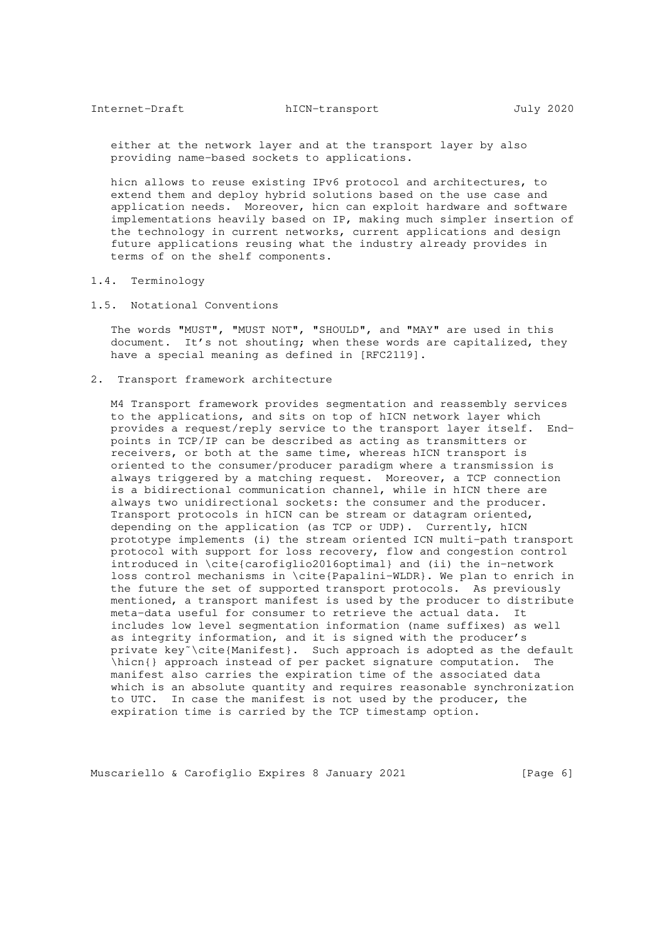either at the network layer and at the transport layer by also providing name-based sockets to applications.

 hicn allows to reuse existing IPv6 protocol and architectures, to extend them and deploy hybrid solutions based on the use case and application needs. Moreover, hicn can exploit hardware and software implementations heavily based on IP, making much simpler insertion of the technology in current networks, current applications and design future applications reusing what the industry already provides in terms of on the shelf components.

- 1.4. Terminology
- 1.5. Notational Conventions

 The words "MUST", "MUST NOT", "SHOULD", and "MAY" are used in this document. It's not shouting; when these words are capitalized, they have a special meaning as defined in [RFC2119].

2. Transport framework architecture

 M4 Transport framework provides segmentation and reassembly services to the applications, and sits on top of hICN network layer which provides a request/reply service to the transport layer itself. End points in TCP/IP can be described as acting as transmitters or receivers, or both at the same time, whereas hICN transport is oriented to the consumer/producer paradigm where a transmission is always triggered by a matching request. Moreover, a TCP connection is a bidirectional communication channel, while in hICN there are always two unidirectional sockets: the consumer and the producer. Transport protocols in hICN can be stream or datagram oriented, depending on the application (as TCP or UDP). Currently, hICN prototype implements (i) the stream oriented ICN multi-path transport protocol with support for loss recovery, flow and congestion control introduced in \cite{carofiglio2016optimal} and (ii) the in-network loss control mechanisms in \cite{Papalini-WLDR}. We plan to enrich in the future the set of supported transport protocols. As previously mentioned, a transport manifest is used by the producer to distribute meta-data useful for consumer to retrieve the actual data. It includes low level segmentation information (name suffixes) as well as integrity information, and it is signed with the producer's private key˜\cite{Manifest}. Such approach is adopted as the default \hicn{} approach instead of per packet signature computation. The manifest also carries the expiration time of the associated data which is an absolute quantity and requires reasonable synchronization to UTC. In case the manifest is not used by the producer, the expiration time is carried by the TCP timestamp option.

Muscariello & Carofiglio Expires 8 January 2021 [Page 6]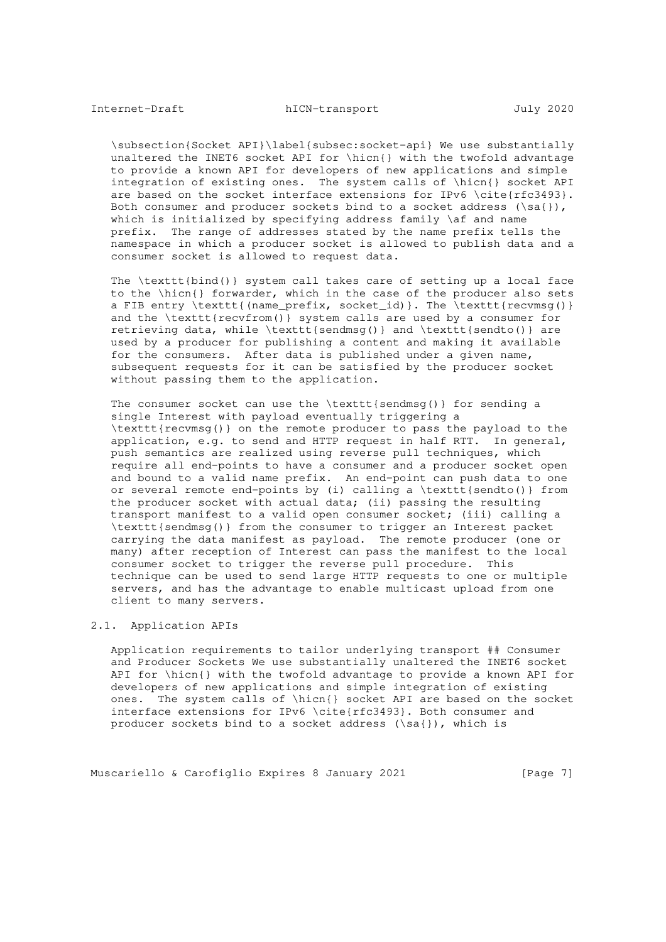\subsection{Socket API}\label{subsec:socket-api} We use substantially unaltered the INET6 socket API for \hicn{} with the twofold advantage to provide a known API for developers of new applications and simple integration of existing ones. The system calls of \hicn{} socket API are based on the socket interface extensions for IPv6 \cite{rfc3493}. Both consumer and producer sockets bind to a socket address  $(\s{a}\})$ , which is initialized by specifying address family \af and name prefix. The range of addresses stated by the name prefix tells the namespace in which a producer socket is allowed to publish data and a consumer socket is allowed to request data.

 The \texttt{bind()} system call takes care of setting up a local face to the \hicn{} forwarder, which in the case of the producer also sets a FIB entry \texttt{(name\_prefix, socket\_id)}. The \texttt{recvmsg()} and the \texttt{recvfrom()} system calls are used by a consumer for retrieving data, while \texttt{sendmsg()} and \texttt{sendto()} are used by a producer for publishing a content and making it available for the consumers. After data is published under a given name, subsequent requests for it can be satisfied by the producer socket without passing them to the application.

The consumer socket can use the  $\texttt{sendmsg()}$  for sending a single Interest with payload eventually triggering a \texttt{recvmsg()} on the remote producer to pass the payload to the application, e.g. to send and HTTP request in half RTT. In general, push semantics are realized using reverse pull techniques, which require all end-points to have a consumer and a producer socket open and bound to a valid name prefix. An end-point can push data to one or several remote end-points by (i) calling a \texttt{sendto()} from the producer socket with actual data; (ii) passing the resulting transport manifest to a valid open consumer socket; (iii) calling a \texttt{sendmsg()} from the consumer to trigger an Interest packet carrying the data manifest as payload. The remote producer (one or many) after reception of Interest can pass the manifest to the local consumer socket to trigger the reverse pull procedure. This technique can be used to send large HTTP requests to one or multiple servers, and has the advantage to enable multicast upload from one client to many servers.

### 2.1. Application APIs

 Application requirements to tailor underlying transport ## Consumer and Producer Sockets We use substantially unaltered the INET6 socket API for \hicn{} with the twofold advantage to provide a known API for developers of new applications and simple integration of existing ones. The system calls of \hicn{} socket API are based on the socket interface extensions for IPv6 \cite{rfc3493}. Both consumer and producer sockets bind to a socket address (\sa{}), which is

Muscariello & Carofiglio Expires 8 January 2021 [Page 7]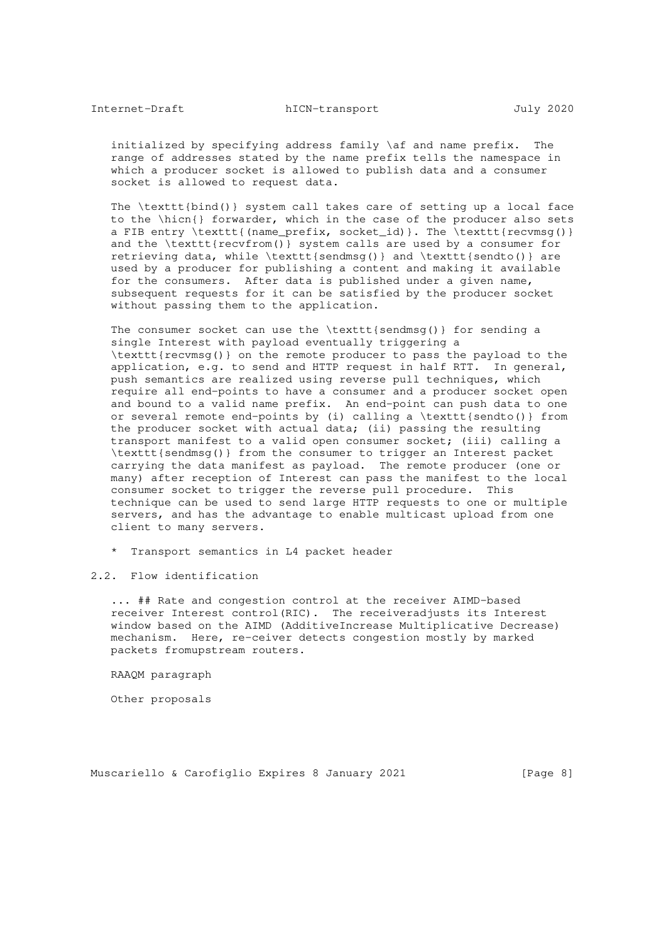initialized by specifying address family \af and name prefix. The range of addresses stated by the name prefix tells the namespace in which a producer socket is allowed to publish data and a consumer socket is allowed to request data.

 The \texttt{bind()} system call takes care of setting up a local face to the \hicn{} forwarder, which in the case of the producer also sets a FIB entry \texttt{(name\_prefix, socket\_id)}. The \texttt{recvmsg()} and the \texttt{recvfrom()} system calls are used by a consumer for retrieving data, while \texttt{sendmsg()} and \texttt{sendto()} are used by a producer for publishing a content and making it available for the consumers. After data is published under a given name, subsequent requests for it can be satisfied by the producer socket without passing them to the application.

The consumer socket can use the \texttt{sendmsg()} for sending a single Interest with payload eventually triggering a \texttt{recvmsg()} on the remote producer to pass the payload to the application, e.g. to send and HTTP request in half RTT. In general, push semantics are realized using reverse pull techniques, which require all end-points to have a consumer and a producer socket open and bound to a valid name prefix. An end-point can push data to one or several remote end-points by (i) calling a \texttt{sendto()} from the producer socket with actual data; (ii) passing the resulting transport manifest to a valid open consumer socket; (iii) calling a \texttt{sendmsg()} from the consumer to trigger an Interest packet carrying the data manifest as payload. The remote producer (one or many) after reception of Interest can pass the manifest to the local consumer socket to trigger the reverse pull procedure. This technique can be used to send large HTTP requests to one or multiple servers, and has the advantage to enable multicast upload from one client to many servers.

- \* Transport semantics in L4 packet header
- 2.2. Flow identification

 ... ## Rate and congestion control at the receiver AIMD-based receiver Interest control(RIC). The receiveradjusts its Interest window based on the AIMD (AdditiveIncrease Multiplicative Decrease) mechanism. Here, re-ceiver detects congestion mostly by marked packets fromupstream routers.

RAAQM paragraph

Other proposals

Muscariello & Carofiglio Expires 8 January 2021 [Page 8]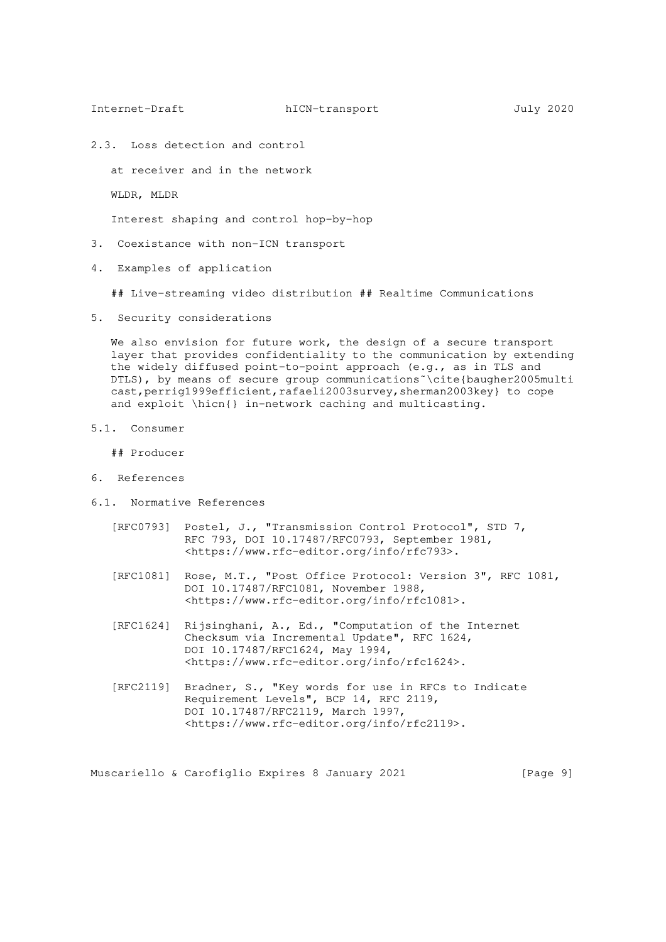2.3. Loss detection and control

at receiver and in the network

WLDR, MLDR

Interest shaping and control hop-by-hop

- 3. Coexistance with non-ICN transport
- 4. Examples of application

## Live-streaming video distribution ## Realtime Communications

5. Security considerations

We also envision for future work, the design of a secure transport layer that provides confidentiality to the communication by extending the widely diffused point-to-point approach (e.g., as in TLS and DTLS), by means of secure group communications˜\cite{baugher2005multi cast, perrig1999efficient, rafaeli2003survey, sherman2003key} to cope and exploit \hicn{} in-network caching and multicasting.

5.1. Consumer

## Producer

- 6. References
- 6.1. Normative References
	- [RFC0793] Postel, J., "Transmission Control Protocol", STD 7, RFC 793, DOI 10.17487/RFC0793, September 1981, <https://www.rfc-editor.org/info/rfc793>.
	- [RFC1081] Rose, M.T., "Post Office Protocol: Version 3", RFC 1081, DOI 10.17487/RFC1081, November 1988, <https://www.rfc-editor.org/info/rfc1081>.
	- [RFC1624] Rijsinghani, A., Ed., "Computation of the Internet Checksum via Incremental Update", RFC 1624, DOI 10.17487/RFC1624, May 1994, <https://www.rfc-editor.org/info/rfc1624>.
	- [RFC2119] Bradner, S., "Key words for use in RFCs to Indicate Requirement Levels", BCP 14, RFC 2119, DOI 10.17487/RFC2119, March 1997, <https://www.rfc-editor.org/info/rfc2119>.

Muscariello & Carofiglio Expires 8 January 2021 [Page 9]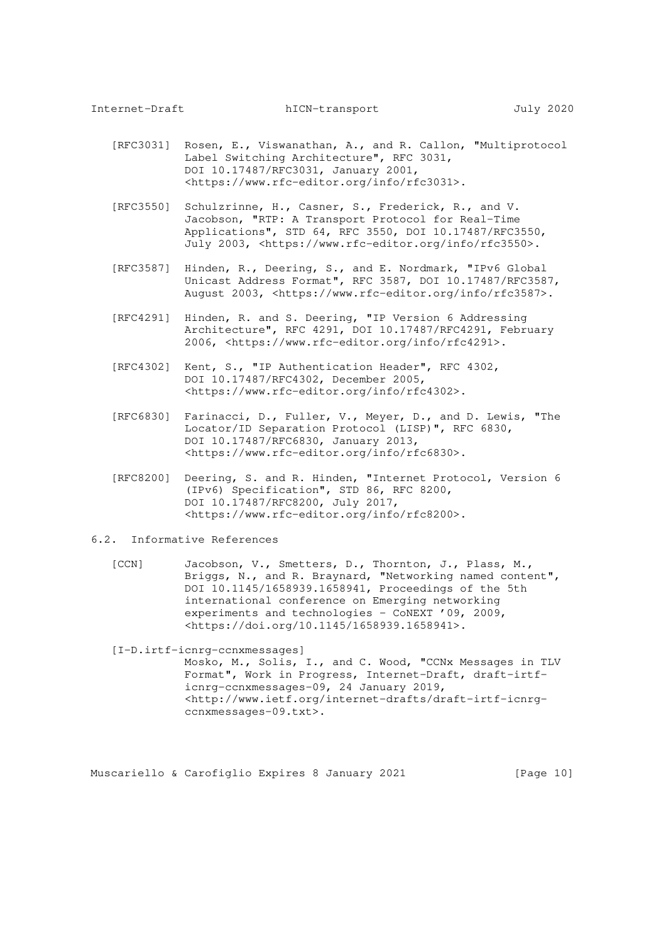- [RFC3031] Rosen, E., Viswanathan, A., and R. Callon, "Multiprotocol Label Switching Architecture", RFC 3031, DOI 10.17487/RFC3031, January 2001, <https://www.rfc-editor.org/info/rfc3031>.
- [RFC3550] Schulzrinne, H., Casner, S., Frederick, R., and V. Jacobson, "RTP: A Transport Protocol for Real-Time Applications", STD 64, RFC 3550, DOI 10.17487/RFC3550, July 2003, <https://www.rfc-editor.org/info/rfc3550>.
	- [RFC3587] Hinden, R., Deering, S., and E. Nordmark, "IPv6 Global Unicast Address Format", RFC 3587, DOI 10.17487/RFC3587, August 2003, <https://www.rfc-editor.org/info/rfc3587>.
	- [RFC4291] Hinden, R. and S. Deering, "IP Version 6 Addressing Architecture", RFC 4291, DOI 10.17487/RFC4291, February 2006, <https://www.rfc-editor.org/info/rfc4291>.
	- [RFC4302] Kent, S., "IP Authentication Header", RFC 4302, DOI 10.17487/RFC4302, December 2005, <https://www.rfc-editor.org/info/rfc4302>.
	- [RFC6830] Farinacci, D., Fuller, V., Meyer, D., and D. Lewis, "The Locator/ID Separation Protocol (LISP)", RFC 6830, DOI 10.17487/RFC6830, January 2013, <https://www.rfc-editor.org/info/rfc6830>.
	- [RFC8200] Deering, S. and R. Hinden, "Internet Protocol, Version 6 (IPv6) Specification", STD 86, RFC 8200, DOI 10.17487/RFC8200, July 2017, <https://www.rfc-editor.org/info/rfc8200>.
- 6.2. Informative References
	- [CCN] Jacobson, V., Smetters, D., Thornton, J., Plass, M., Briggs, N., and R. Braynard, "Networking named content", DOI 10.1145/1658939.1658941, Proceedings of the 5th international conference on Emerging networking experiments and technologies - CoNEXT '09, 2009, <https://doi.org/10.1145/1658939.1658941>.

[I-D.irtf-icnrg-ccnxmessages]

 Mosko, M., Solis, I., and C. Wood, "CCNx Messages in TLV Format", Work in Progress, Internet-Draft, draft-irtf icnrg-ccnxmessages-09, 24 January 2019, <http://www.ietf.org/internet-drafts/draft-irtf-icnrg ccnxmessages-09.txt>.

Muscariello & Carofiglio Expires 8 January 2021 [Page 10]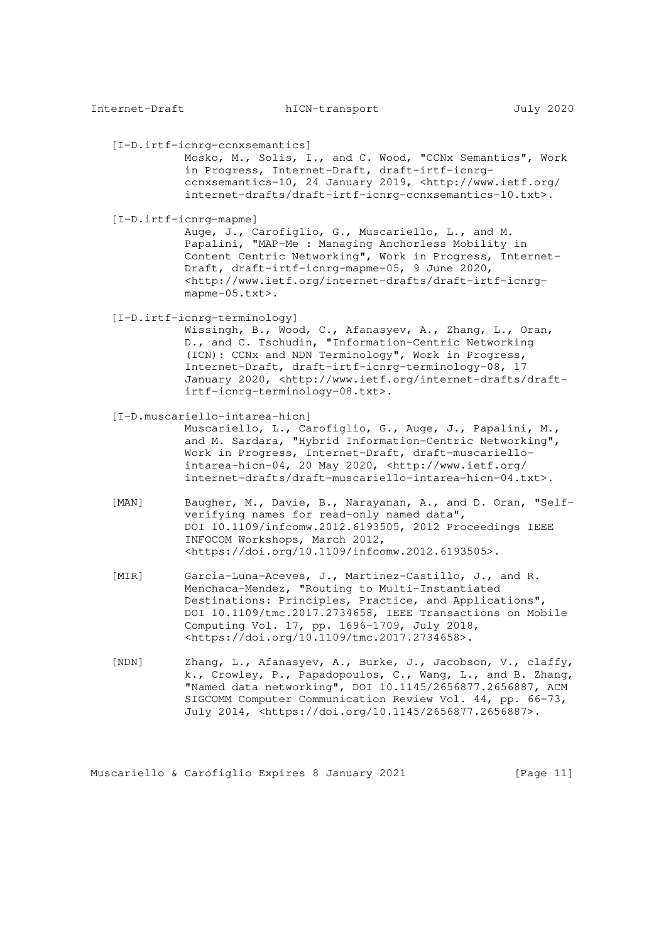[I-D.irtf-icnrg-ccnxsemantics]

 Mosko, M., Solis, I., and C. Wood, "CCNx Semantics", Work in Progress, Internet-Draft, draft-irtf-icnrg ccnxsemantics-10, 24 January 2019, <http://www.ietf.org/ internet-drafts/draft-irtf-icnrg-ccnxsemantics-10.txt>.

[I-D.irtf-icnrg-mapme]

 Auge, J., Carofiglio, G., Muscariello, L., and M. Papalini, "MAP-Me : Managing Anchorless Mobility in Content Centric Networking", Work in Progress, Internet- Draft, draft-irtf-icnrg-mapme-05, 9 June 2020, <http://www.ietf.org/internet-drafts/draft-irtf-icnrg mapme-05.txt>.

[I-D.irtf-icnrg-terminology]

 Wissingh, B., Wood, C., Afanasyev, A., Zhang, L., Oran, D., and C. Tschudin, "Information-Centric Networking (ICN): CCNx and NDN Terminology", Work in Progress, Internet-Draft, draft-irtf-icnrg-terminology-08, 17 January 2020, <http://www.ietf.org/internet-drafts/draft irtf-icnrg-terminology-08.txt>.

#### [I-D.muscariello-intarea-hicn]

 Muscariello, L., Carofiglio, G., Auge, J., Papalini, M., and M. Sardara, "Hybrid Information-Centric Networking", Work in Progress, Internet-Draft, draft-muscariello intarea-hicn-04, 20 May 2020, <http://www.ietf.org/ internet-drafts/draft-muscariello-intarea-hicn-04.txt>.

- [MAN] Baugher, M., Davie, B., Narayanan, A., and D. Oran, "Self verifying names for read-only named data", DOI 10.1109/infcomw.2012.6193505, 2012 Proceedings IEEE INFOCOM Workshops, March 2012, <https://doi.org/10.1109/infcomw.2012.6193505>.
- [MIR] Garcia-Luna-Aceves, J., Martinez-Castillo, J., and R. Menchaca-Mendez, "Routing to Multi-Instantiated Destinations: Principles, Practice, and Applications", DOI 10.1109/tmc.2017.2734658, IEEE Transactions on Mobile Computing Vol. 17, pp. 1696-1709, July 2018, <https://doi.org/10.1109/tmc.2017.2734658>.
- [NDN] Zhang, L., Afanasyev, A., Burke, J., Jacobson, V., claffy, k., Crowley, P., Papadopoulos, C., Wang, L., and B. Zhang, "Named data networking", DOI 10.1145/2656877.2656887, ACM SIGCOMM Computer Communication Review Vol. 44, pp. 66-73, July 2014, <https://doi.org/10.1145/2656877.2656887>.

Muscariello & Carofiglio Expires 8 January 2021 [Page 11]